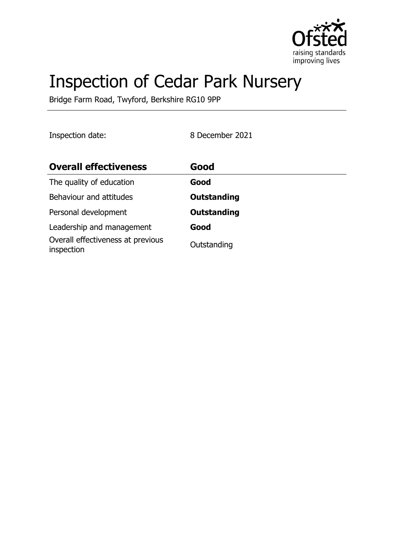

# Inspection of Cedar Park Nursery

Bridge Farm Road, Twyford, Berkshire RG10 9PP

Inspection date: 8 December 2021

| <b>Overall effectiveness</b>                    | Good               |
|-------------------------------------------------|--------------------|
| The quality of education                        | Good               |
| Behaviour and attitudes                         | <b>Outstanding</b> |
| Personal development                            | <b>Outstanding</b> |
| Leadership and management                       | Good               |
| Overall effectiveness at previous<br>inspection | Outstanding        |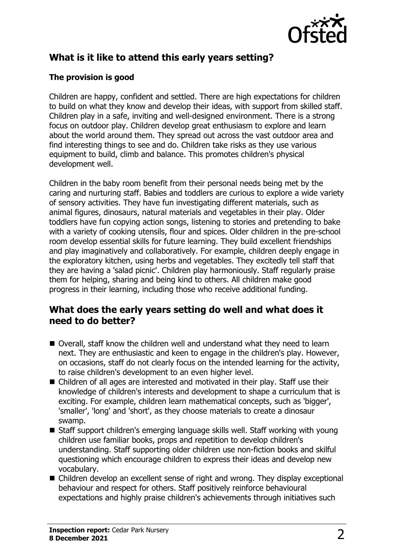

# **What is it like to attend this early years setting?**

#### **The provision is good**

Children are happy, confident and settled. There are high expectations for children to build on what they know and develop their ideas, with support from skilled staff. Children play in a safe, inviting and well-designed environment. There is a strong focus on outdoor play. Children develop great enthusiasm to explore and learn about the world around them. They spread out across the vast outdoor area and find interesting things to see and do. Children take risks as they use various equipment to build, climb and balance. This promotes children's physical development well.

Children in the baby room benefit from their personal needs being met by the caring and nurturing staff. Babies and toddlers are curious to explore a wide variety of sensory activities. They have fun investigating different materials, such as animal figures, dinosaurs, natural materials and vegetables in their play. Older toddlers have fun copying action songs, listening to stories and pretending to bake with a variety of cooking utensils, flour and spices. Older children in the pre-school room develop essential skills for future learning. They build excellent friendships and play imaginatively and collaboratively. For example, children deeply engage in the exploratory kitchen, using herbs and vegetables. They excitedly tell staff that they are having a 'salad picnic'. Children play harmoniously. Staff regularly praise them for helping, sharing and being kind to others. All children make good progress in their learning, including those who receive additional funding.

### **What does the early years setting do well and what does it need to do better?**

- $\blacksquare$  Overall, staff know the children well and understand what they need to learn next. They are enthusiastic and keen to engage in the children's play. However, on occasions, staff do not clearly focus on the intended learning for the activity, to raise children's development to an even higher level.
- $\blacksquare$  Children of all ages are interested and motivated in their play. Staff use their knowledge of children's interests and development to shape a curriculum that is exciting. For example, children learn mathematical concepts, such as 'bigger', 'smaller', 'long' and 'short', as they choose materials to create a dinosaur swamp.
- $\blacksquare$  Staff support children's emerging language skills well. Staff working with young children use familiar books, props and repetition to develop children's understanding. Staff supporting older children use non-fiction books and skilful questioning which encourage children to express their ideas and develop new vocabulary.
- $\blacksquare$  Children develop an excellent sense of right and wrong. They display exceptional behaviour and respect for others. Staff positively reinforce behavioural expectations and highly praise children's achievements through initiatives such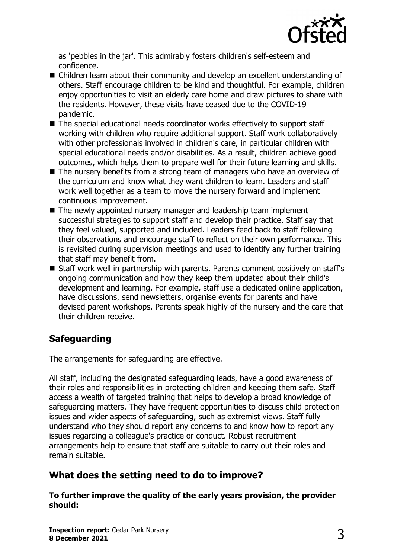

as 'pebbles in the jar'. This admirably fosters children's self-esteem and confidence.

- $\blacksquare$  Children learn about their community and develop an excellent understanding of others. Staff encourage children to be kind and thoughtful. For example, children enjoy opportunities to visit an elderly care home and draw pictures to share with the residents. However, these visits have ceased due to the COVID-19 pandemic.
- $\blacksquare$  The special educational needs coordinator works effectively to support staff working with children who require additional support. Staff work collaboratively with other professionals involved in children's care, in particular children with special educational needs and/or disabilities. As a result, children achieve good outcomes, which helps them to prepare well for their future learning and skills.
- $\blacksquare$  The nursery benefits from a strong team of managers who have an overview of the curriculum and know what they want children to learn. Leaders and staff work well together as a team to move the nursery forward and implement continuous improvement.
- $\blacksquare$  The newly appointed nursery manager and leadership team implement successful strategies to support staff and develop their practice. Staff say that they feel valued, supported and included. Leaders feed back to staff following their observations and encourage staff to reflect on their own performance. This is revisited during supervision meetings and used to identify any further training that staff may benefit from.
- Staff work well in partnership with parents. Parents comment positively on staff's ongoing communication and how they keep them updated about their child's development and learning. For example, staff use a dedicated online application, have discussions, send newsletters, organise events for parents and have devised parent workshops. Parents speak highly of the nursery and the care that their children receive.

# **Safeguarding**

The arrangements for safeguarding are effective.

All staff, including the designated safeguarding leads, have a good awareness of their roles and responsibilities in protecting children and keeping them safe. Staff access a wealth of targeted training that helps to develop a broad knowledge of safeguarding matters. They have frequent opportunities to discuss child protection issues and wider aspects of safeguarding, such as extremist views. Staff fully understand who they should report any concerns to and know how to report any issues regarding a colleague's practice or conduct. Robust recruitment arrangements help to ensure that staff are suitable to carry out their roles and remain suitable.

## **What does the setting need to do to improve?**

**To further improve the quality of the early years provision, the provider should:**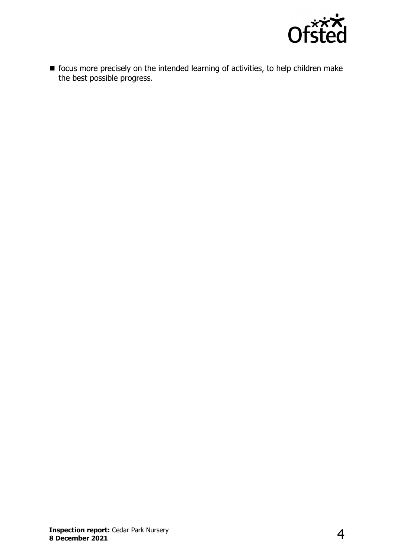

 $\blacksquare$  focus more precisely on the intended learning of activities, to help children make the best possible progress.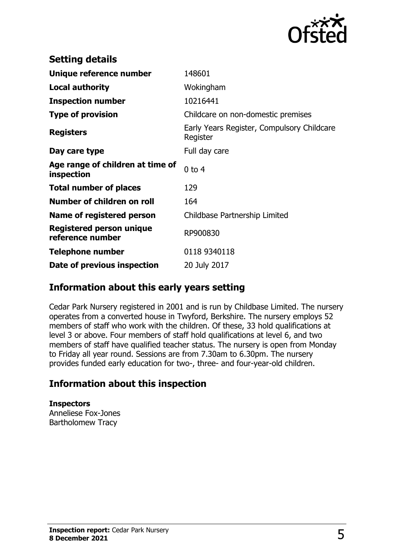

| <b>Setting details</b>                         |                                                        |
|------------------------------------------------|--------------------------------------------------------|
| Unique reference number                        | 148601                                                 |
| <b>Local authority</b>                         | Wokingham                                              |
| <b>Inspection number</b>                       | 10216441                                               |
| <b>Type of provision</b>                       | Childcare on non-domestic premises                     |
| <b>Registers</b>                               | Early Years Register, Compulsory Childcare<br>Register |
| Day care type                                  | Full day care                                          |
| Age range of children at time of<br>inspection | $0$ to $4$                                             |
| <b>Total number of places</b>                  | 129                                                    |
| Number of children on roll                     | 164                                                    |
| Name of registered person                      | Childbase Partnership Limited                          |
| Registered person unique<br>reference number   | RP900830                                               |
| <b>Telephone number</b>                        | 0118 9340118                                           |
| Date of previous inspection                    | 20 July 2017                                           |

## **Information about this early years setting**

Cedar Park Nursery registered in 2001 and is run by Childbase Limited. The nursery operates from a converted house in Twyford, Berkshire. The nursery employs 52 members of staff who work with the children. Of these, 33 hold qualifications at level 3 or above. Four members of staff hold qualifications at level 6, and two members of staff have qualified teacher status. The nursery is open from Monday to Friday all year round. Sessions are from 7.30am to 6.30pm. The nursery provides funded early education for two-, three- and four-year-old children.

## **Information about this inspection**

**Inspectors** Anneliese Fox-Jones Bartholomew Tracy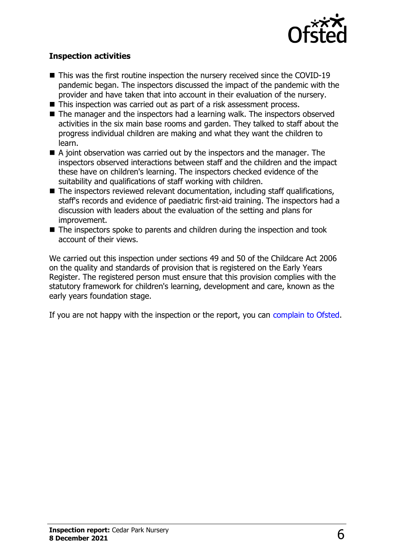

#### **Inspection activities**

- $\blacksquare$  This was the first routine inspection the nursery received since the COVID-19 pandemic began. The inspectors discussed the impact of the pandemic with the provider and have taken that into account in their evaluation of the nursery.
- This inspection was carried out as part of a risk assessment process.
- $\blacksquare$  The manager and the inspectors had a learning walk. The inspectors observed activities in the six main base rooms and garden. They talked to staff about the progress individual children are making and what they want the children to learn.
- $\blacksquare$  A joint observation was carried out by the inspectors and the manager. The inspectors observed interactions between staff and the children and the impact these have on children's learning. The inspectors checked evidence of the suitability and qualifications of staff working with children.
- $\blacksquare$  The inspectors reviewed relevant documentation, including staff qualifications, staff's records and evidence of paediatric first-aid training. The inspectors had a discussion with leaders about the evaluation of the setting and plans for improvement.
- $\blacksquare$  The inspectors spoke to parents and children during the inspection and took account of their views.

We carried out this inspection under sections 49 and 50 of the Childcare Act 2006 on the quality and standards of provision that is registered on the Early Years Register. The registered person must ensure that this provision complies with the statutory framework for children's learning, development and care, known as the early years foundation stage.

If you are not happy with the inspection or the report, you can [complain to Ofsted](http://www.gov.uk/complain-ofsted-report).